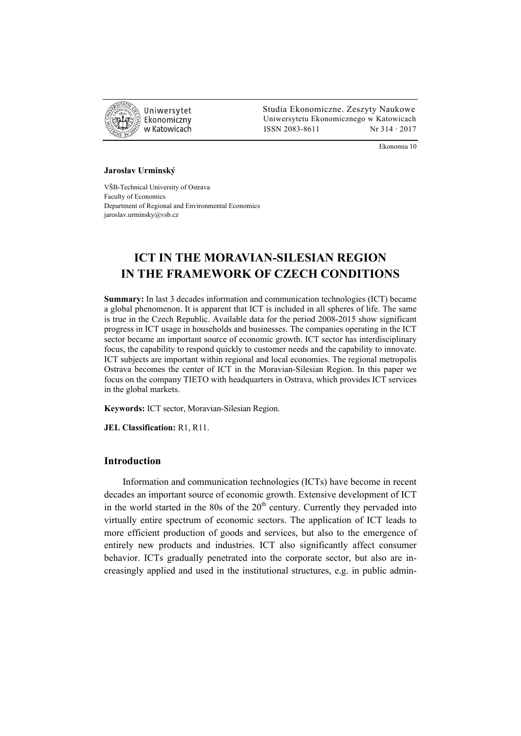

 Studia Ekonomiczne. Zeszyty Naukowe Uniwersytetu Ekonomicznego w Katowicach w Katowicach Matsus (ISSN 2083-8611 Nr 314 · 2017

Ekonomia 10

#### **Jaroslav Urminský**

VŠB-Technical University of Ostrava Faculty of Economics Department of Regional and Environmental Economics jaroslav.urminsky@vsb.cz

# **ICT IN THE MORAVIAN-SILESIAN REGION IN THE FRAMEWORK OF CZECH CONDITIONS**

**Summary:** In last 3 decades information and communication technologies (ICT) became a global phenomenon. It is apparent that ICT is included in all spheres of life. The same is true in the Czech Republic. Available data for the period 2008-2015 show significant progress in ICT usage in households and businesses. The companies operating in the ICT sector became an important source of economic growth. ICT sector has interdisciplinary focus, the capability to respond quickly to customer needs and the capability to innovate. ICT subjects are important within regional and local economies. The regional metropolis Ostrava becomes the center of ICT in the Moravian-Silesian Region. In this paper we focus on the company TIETO with headquarters in Ostrava, which provides ICT services in the global markets.

**Keywords:** ICT sector, Moravian-Silesian Region.

**JEL Classification:** R1, R11.

### **Introduction**

Information and communication technologies (ICTs) have become in recent decades an important source of economic growth. Extensive development of ICT in the world started in the 80s of the  $20<sup>th</sup>$  century. Currently they pervaded into virtually entire spectrum of economic sectors. The application of ICT leads to more efficient production of goods and services, but also to the emergence of entirely new products and industries. ICT also significantly affect consumer behavior. ICTs gradually penetrated into the corporate sector, but also are increasingly applied and used in the institutional structures, e.g. in public admin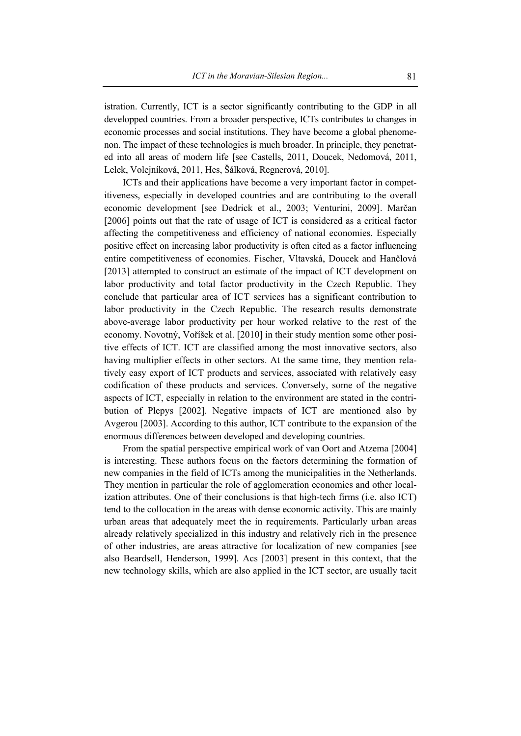istration. Currently, ICT is a sector significantly contributing to the GDP in all developped countries. From a broader perspective, ICTs contributes to changes in economic processes and social institutions. They have become a global phenomenon. The impact of these technologies is much broader. In principle, they penetrated into all areas of modern life [see Castells, 2011, Doucek, Nedomová, 2011, Lelek, Volejníková, 2011, Hes, Šálková, Regnerová, 2010].

ICTs and their applications have become a very important factor in competitiveness, especially in developed countries and are contributing to the overall economic development [see Dedrick et al., 2003; Venturini, 2009]. Marčan [2006] points out that the rate of usage of ICT is considered as a critical factor affecting the competitiveness and efficiency of national economies. Especially positive effect on increasing labor productivity is often cited as a factor influencing entire competitiveness of economies. Fischer, Vltavská, Doucek and Hančlová [2013] attempted to construct an estimate of the impact of ICT development on labor productivity and total factor productivity in the Czech Republic. They conclude that particular area of ICT services has a significant contribution to labor productivity in the Czech Republic. The research results demonstrate above-average labor productivity per hour worked relative to the rest of the economy. Novotný, Voříšek et al. [2010] in their study mention some other positive effects of ICT. ICT are classified among the most innovative sectors, also having multiplier effects in other sectors. At the same time, they mention relatively easy export of ICT products and services, associated with relatively easy codification of these products and services. Conversely, some of the negative aspects of ICT, especially in relation to the environment are stated in the contribution of Plepys [2002]. Negative impacts of ICT are mentioned also by Avgerou [2003]. According to this author, ICT contribute to the expansion of the enormous differences between developed and developing countries.

From the spatial perspective empirical work of van Oort and Atzema [2004] is interesting. These authors focus on the factors determining the formation of new companies in the field of ICTs among the municipalities in the Netherlands. They mention in particular the role of agglomeration economies and other localization attributes. One of their conclusions is that high-tech firms (i.e. also ICT) tend to the collocation in the areas with dense economic activity. This are mainly urban areas that adequately meet the in requirements. Particularly urban areas already relatively specialized in this industry and relatively rich in the presence of other industries, are areas attractive for localization of new companies [see also Beardsell, Henderson, 1999]. Acs [2003] present in this context, that the new technology skills, which are also applied in the ICT sector, are usually tacit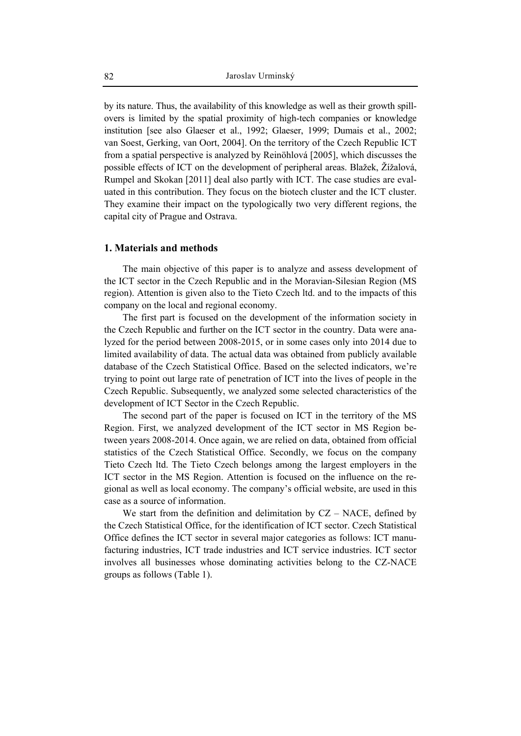by its nature. Thus, the availability of this knowledge as well as their growth spillovers is limited by the spatial proximity of high-tech companies or knowledge institution [see also Glaeser et al., 1992; Glaeser, 1999; Dumais et al., 2002; van Soest, Gerking, van Oort, 2004]. On the territory of the Czech Republic ICT from a spatial perspective is analyzed by Reinöhlová [2005], which discusses the possible effects of ICT on the development of peripheral areas. Blažek, Žížalová, Rumpel and Skokan [2011] deal also partly with ICT. The case studies are evaluated in this contribution. They focus on the biotech cluster and the ICT cluster. They examine their impact on the typologically two very different regions, the capital city of Prague and Ostrava.

### **1. Materials and methods**

The main objective of this paper is to analyze and assess development of the ICT sector in the Czech Republic and in the Moravian-Silesian Region (MS region). Attention is given also to the Tieto Czech ltd. and to the impacts of this company on the local and regional economy.

The first part is focused on the development of the information society in the Czech Republic and further on the ICT sector in the country. Data were analyzed for the period between 2008-2015, or in some cases only into 2014 due to limited availability of data. The actual data was obtained from publicly available database of the Czech Statistical Office. Based on the selected indicators, we're trying to point out large rate of penetration of ICT into the lives of people in the Czech Republic. Subsequently, we analyzed some selected characteristics of the development of ICT Sector in the Czech Republic.

The second part of the paper is focused on ICT in the territory of the MS Region. First, we analyzed development of the ICT sector in MS Region between years 2008-2014. Once again, we are relied on data, obtained from official statistics of the Czech Statistical Office. Secondly, we focus on the company Tieto Czech ltd. The Tieto Czech belongs among the largest employers in the ICT sector in the MS Region. Attention is focused on the influence on the regional as well as local economy. The company's official website, are used in this case as a source of information.

We start from the definition and delimitation by  $CZ - NACE$ , defined by the Czech Statistical Office, for the identification of ICT sector. Czech Statistical Office defines the ICT sector in several major categories as follows: ICT manufacturing industries, ICT trade industries and ICT service industries. ICT sector involves all businesses whose dominating activities belong to the CZ-NACE groups as follows (Table 1).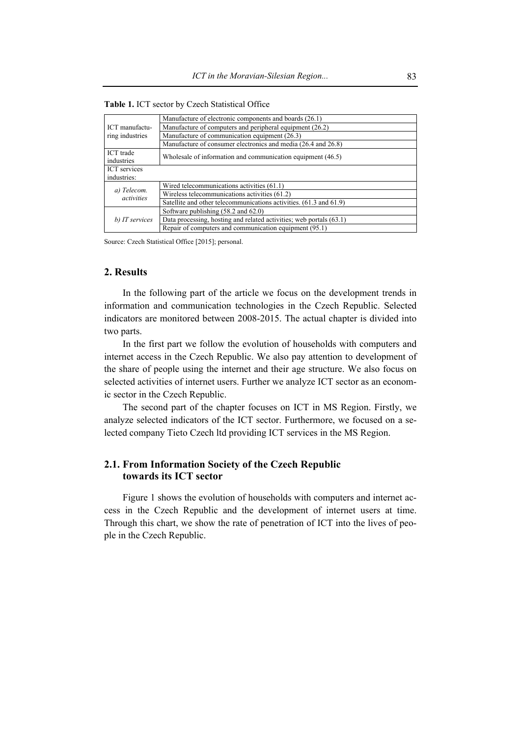| ICT manufactu-<br>ring industries | Manufacture of electronic components and boards (26.1)              |
|-----------------------------------|---------------------------------------------------------------------|
|                                   | Manufacture of computers and peripheral equipment (26.2)            |
|                                   | Manufacture of communication equipment (26.3)                       |
|                                   | Manufacture of consumer electronics and media (26.4 and 26.8)       |
| ICT trade<br>industries           | Wholesale of information and communication equipment (46.5)         |
| <b>ICT</b> services               |                                                                     |
| industries:                       |                                                                     |
| a) Telecom.<br>activities         | Wired telecommunications activities (61.1)                          |
|                                   | Wireless telecommunications activities (61.2)                       |
|                                   | Satellite and other telecommunications activities. (61.3 and 61.9)  |
| b) IT services                    | Software publishing (58.2 and 62.0)                                 |
|                                   | Data processing, hosting and related activities; web portals (63.1) |
|                                   | Repair of computers and communication equipment (95.1)              |

**Table 1.** ICT sector by Czech Statistical Office

### **2. Results**

In the following part of the article we focus on the development trends in information and communication technologies in the Czech Republic. Selected indicators are monitored between 2008-2015. The actual chapter is divided into two parts.

In the first part we follow the evolution of households with computers and internet access in the Czech Republic. We also pay attention to development of the share of people using the internet and their age structure. We also focus on selected activities of internet users. Further we analyze ICT sector as an economic sector in the Czech Republic.

The second part of the chapter focuses on ICT in MS Region. Firstly, we analyze selected indicators of the ICT sector. Furthermore, we focused on a selected company Tieto Czech ltd providing ICT services in the MS Region.

## **2.1. From Information Society of the Czech Republic towards its ICT sector**

Figure 1 shows the evolution of households with computers and internet access in the Czech Republic and the development of internet users at time. Through this chart, we show the rate of penetration of ICT into the lives of people in the Czech Republic.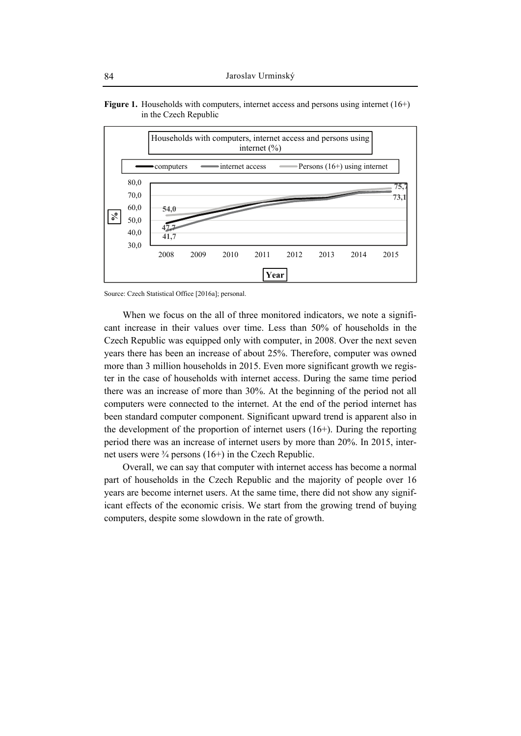

**Figure 1.** Households with computers, internet access and persons using internet (16+) in the Czech Republic

When we focus on the all of three monitored indicators, we note a significant increase in their values over time. Less than 50% of households in the Czech Republic was equipped only with computer, in 2008. Over the next seven years there has been an increase of about 25%. Therefore, computer was owned more than 3 million households in 2015. Even more significant growth we register in the case of households with internet access. During the same time period there was an increase of more than 30%. At the beginning of the period not all computers were connected to the internet. At the end of the period internet has been standard computer component. Significant upward trend is apparent also in the development of the proportion of internet users (16+). During the reporting period there was an increase of internet users by more than 20%. In 2015, internet users were  $\frac{3}{4}$  persons (16+) in the Czech Republic.

Overall, we can say that computer with internet access has become a normal part of households in the Czech Republic and the majority of people over 16 years are become internet users. At the same time, there did not show any significant effects of the economic crisis. We start from the growing trend of buying computers, despite some slowdown in the rate of growth.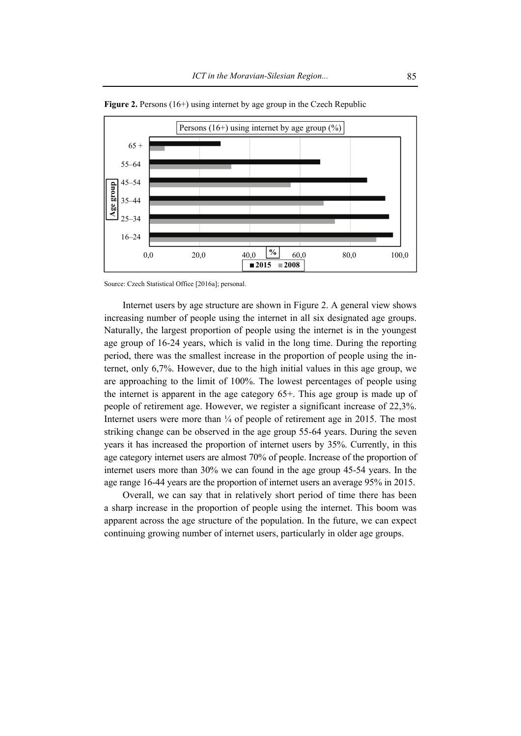

Figure 2. Persons (16+) using internet by age group in the Czech Republic

Internet users by age structure are shown in Figure 2. A general view shows increasing number of people using the internet in all six designated age groups. Naturally, the largest proportion of people using the internet is in the youngest age group of 16-24 years, which is valid in the long time. During the reporting period, there was the smallest increase in the proportion of people using the internet, only 6,7%. However, due to the high initial values in this age group, we are approaching to the limit of 100%. The lowest percentages of people using the internet is apparent in the age category 65+. This age group is made up of people of retirement age. However, we register a significant increase of 22,3%. Internet users were more than  $\frac{1}{4}$  of people of retirement age in 2015. The most striking change can be observed in the age group 55-64 years. During the seven years it has increased the proportion of internet users by 35%. Currently, in this age category internet users are almost 70% of people. Increase of the proportion of internet users more than 30% we can found in the age group 45-54 years. In the age range 16-44 years are the proportion of internet users an average 95% in 2015.

Overall, we can say that in relatively short period of time there has been a sharp increase in the proportion of people using the internet. This boom was apparent across the age structure of the population. In the future, we can expect continuing growing number of internet users, particularly in older age groups.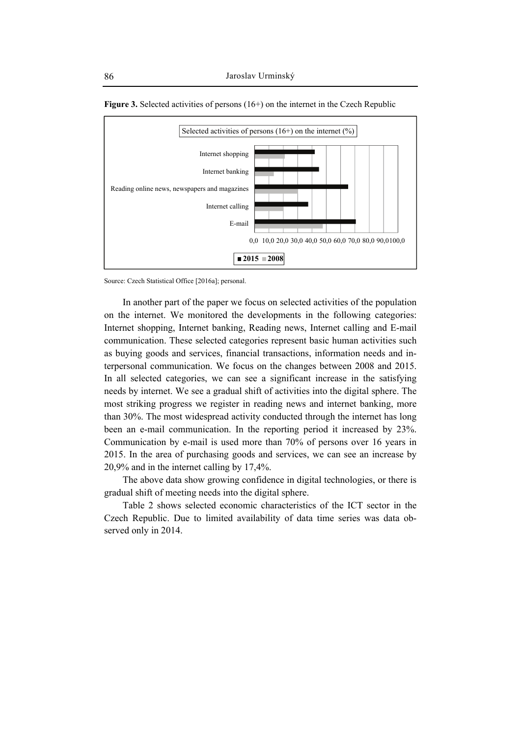



In another part of the paper we focus on selected activities of the population on the internet. We monitored the developments in the following categories: Internet shopping, Internet banking, Reading news, Internet calling and E-mail communication. These selected categories represent basic human activities such as buying goods and services, financial transactions, information needs and interpersonal communication. We focus on the changes between 2008 and 2015. In all selected categories, we can see a significant increase in the satisfying needs by internet. We see a gradual shift of activities into the digital sphere. The most striking progress we register in reading news and internet banking, more than 30%. The most widespread activity conducted through the internet has long been an e-mail communication. In the reporting period it increased by 23%. Communication by e-mail is used more than 70% of persons over 16 years in 2015. In the area of purchasing goods and services, we can see an increase by 20,9% and in the internet calling by 17,4%.

The above data show growing confidence in digital technologies, or there is gradual shift of meeting needs into the digital sphere.

Table 2 shows selected economic characteristics of the ICT sector in the Czech Republic. Due to limited availability of data time series was data observed only in 2014.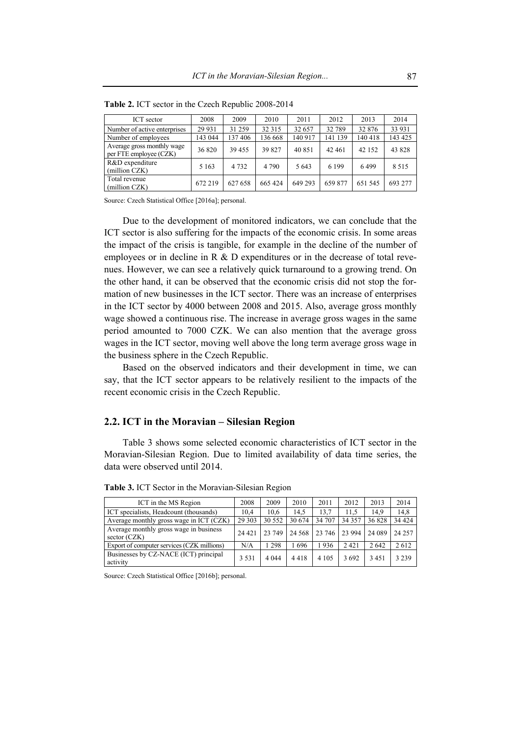| ICT sector                                           | 2008    | 2009    | 2010    | 2011    | 2012    | 2013    | 2014    |
|------------------------------------------------------|---------|---------|---------|---------|---------|---------|---------|
| Number of active enterprises                         | 29 9 31 | 31 259  | 32 315  | 32 657  | 32 789  | 32 876  | 33 931  |
| Number of employees                                  | 143 044 | 137406  | 136 668 | 140 917 | 141 139 | 140 418 | 143 425 |
| Average gross monthly wage<br>per FTE employee (CZK) | 36 820  | 39 455  | 39 827  | 40 851  | 42 461  | 42 152  | 43 828  |
| R&D expenditure<br>(million CZK)                     | 5 1 6 3 | 4 7 3 2 | 4 7 9 0 | 5 6 4 3 | 6 1 9 9 | 6499    | 8.515   |
| Total revenue<br>(million CZK)                       | 672 219 | 627 658 | 665424  | 649 293 | 659 877 | 651 545 | 693 277 |

**Table 2.** ICT sector in the Czech Republic 2008-2014

Due to the development of monitored indicators, we can conclude that the ICT sector is also suffering for the impacts of the economic crisis. In some areas the impact of the crisis is tangible, for example in the decline of the number of employees or in decline in R & D expenditures or in the decrease of total revenues. However, we can see a relatively quick turnaround to a growing trend. On the other hand, it can be observed that the economic crisis did not stop the formation of new businesses in the ICT sector. There was an increase of enterprises in the ICT sector by 4000 between 2008 and 2015. Also, average gross monthly wage showed a continuous rise. The increase in average gross wages in the same period amounted to 7000 CZK. We can also mention that the average gross wages in the ICT sector, moving well above the long term average gross wage in the business sphere in the Czech Republic.

Based on the observed indicators and their development in time, we can say, that the ICT sector appears to be relatively resilient to the impacts of the recent economic crisis in the Czech Republic.

### **2.2. ICT in the Moravian – Silesian Region**

Table 3 shows some selected economic characteristics of ICT sector in the Moravian-Silesian Region. Due to limited availability of data time series, the data were observed until 2014.

| ICT in the MS Region                                     | 2008    | 2009    | 2010    | 2011    | 2012   | 2013   | 2014    |
|----------------------------------------------------------|---------|---------|---------|---------|--------|--------|---------|
| ICT specialists, Headcount (thousands)                   |         | 10.6    | 14.5    | 13.7    | 11.5   | 14.9   | 14.8    |
| Average monthly gross wage in ICT (CZK)                  | 29 30 3 | 30 552  | 30 674  | 34 707  | 34 357 | 36828  | 34 4 24 |
| Average monthly gross wage in business<br>sector $(CZK)$ | 24 4 21 | 23 749  | 24 5 68 | 23 746  | 23 994 | 24 089 | 24 257  |
| Export of computer services (CZK millions)               | N/A     | 1 298   | 696     | 1936    | 2421   | 2642   | 2612    |
| Businesses by CZ-NACE (ICT) principal<br>activity        | 3 5 3 1 | 4 0 4 4 | 4418    | 4 1 0 5 | 3692   | 3451   | 3 2 3 9 |

**Table 3.** ICT Sector in the Moravian-Silesian Region

Source: Czech Statistical Office [2016b]; personal.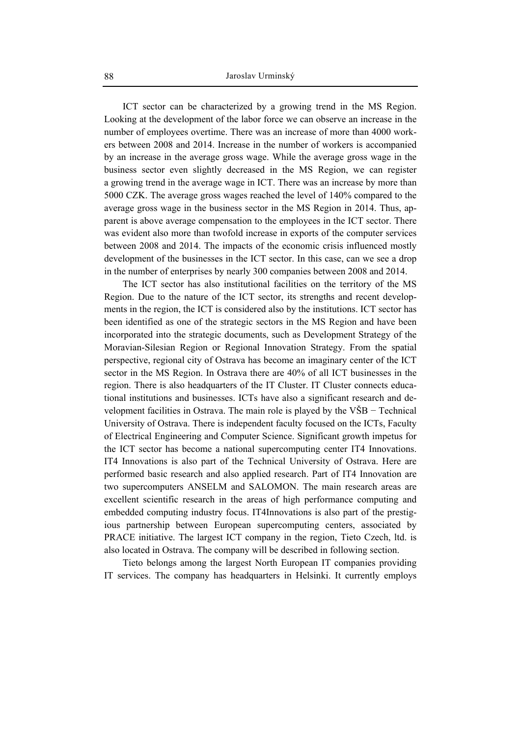ICT sector can be characterized by a growing trend in the MS Region. Looking at the development of the labor force we can observe an increase in the number of employees overtime. There was an increase of more than 4000 workers between 2008 and 2014. Increase in the number of workers is accompanied by an increase in the average gross wage. While the average gross wage in the business sector even slightly decreased in the MS Region, we can register a growing trend in the average wage in ICT. There was an increase by more than 5000 CZK. The average gross wages reached the level of 140% compared to the average gross wage in the business sector in the MS Region in 2014. Thus, apparent is above average compensation to the employees in the ICT sector. There was evident also more than twofold increase in exports of the computer services between 2008 and 2014. The impacts of the economic crisis influenced mostly development of the businesses in the ICT sector. In this case, can we see a drop in the number of enterprises by nearly 300 companies between 2008 and 2014.

The ICT sector has also institutional facilities on the territory of the MS Region. Due to the nature of the ICT sector, its strengths and recent developments in the region, the ICT is considered also by the institutions. ICT sector has been identified as one of the strategic sectors in the MS Region and have been incorporated into the strategic documents, such as Development Strategy of the Moravian-Silesian Region or Regional Innovation Strategy. From the spatial perspective, regional city of Ostrava has become an imaginary center of the ICT sector in the MS Region. In Ostrava there are 40% of all ICT businesses in the region. There is also headquarters of the IT Cluster. IT Cluster connects educational institutions and businesses. ICTs have also a significant research and development facilities in Ostrava. The main role is played by the VŠB − Technical University of Ostrava. There is independent faculty focused on the ICTs, Faculty of Electrical Engineering and Computer Science. Significant growth impetus for the ICT sector has become a national supercomputing center IT4 Innovations. IT4 Innovations is also part of the Technical University of Ostrava. Here are performed basic research and also applied research. Part of IT4 Innovation are two supercomputers ANSELM and SALOMON. The main research areas are excellent scientific research in the areas of high performance computing and embedded computing industry focus. IT4Innovations is also part of the prestigious partnership between European supercomputing centers, associated by PRACE initiative. The largest ICT company in the region, Tieto Czech, ltd. is also located in Ostrava. The company will be described in following section.

Tieto belongs among the largest North European IT companies providing IT services. The company has headquarters in Helsinki. It currently employs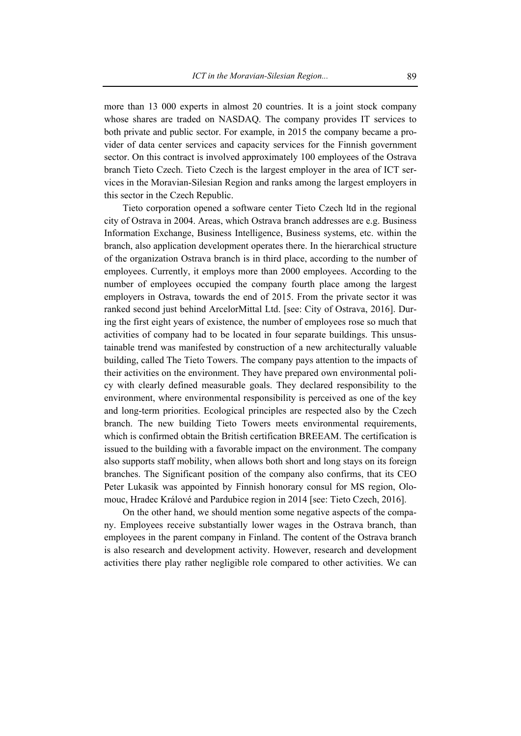more than 13 000 experts in almost 20 countries. It is a joint stock company whose shares are traded on NASDAQ. The company provides IT services to both private and public sector. For example, in 2015 the company became a provider of data center services and capacity services for the Finnish government sector. On this contract is involved approximately 100 employees of the Ostrava branch Tieto Czech. Tieto Czech is the largest employer in the area of ICT services in the Moravian-Silesian Region and ranks among the largest employers in this sector in the Czech Republic.

Tieto corporation opened a software center Tieto Czech ltd in the regional city of Ostrava in 2004. Areas, which Ostrava branch addresses are e.g. Business Information Exchange, Business Intelligence, Business systems, etc. within the branch, also application development operates there. In the hierarchical structure of the organization Ostrava branch is in third place, according to the number of employees. Currently, it employs more than 2000 employees. According to the number of employees occupied the company fourth place among the largest employers in Ostrava, towards the end of 2015. From the private sector it was ranked second just behind ArcelorMittal Ltd. [see: City of Ostrava, 2016]. During the first eight years of existence, the number of employees rose so much that activities of company had to be located in four separate buildings. This unsustainable trend was manifested by construction of a new architecturally valuable building, called The Tieto Towers. The company pays attention to the impacts of their activities on the environment. They have prepared own environmental policy with clearly defined measurable goals. They declared responsibility to the environment, where environmental responsibility is perceived as one of the key and long-term priorities. Ecological principles are respected also by the Czech branch. The new building Tieto Towers meets environmental requirements, which is confirmed obtain the British certification BREEAM. The certification is issued to the building with a favorable impact on the environment. The company also supports staff mobility, when allows both short and long stays on its foreign branches. The Significant position of the company also confirms, that its CEO Peter Lukasik was appointed by Finnish honorary consul for MS region, Olomouc, Hradec Králové and Pardubice region in 2014 [see: Tieto Czech, 2016].

On the other hand, we should mention some negative aspects of the company. Employees receive substantially lower wages in the Ostrava branch, than employees in the parent company in Finland. The content of the Ostrava branch is also research and development activity. However, research and development activities there play rather negligible role compared to other activities. We can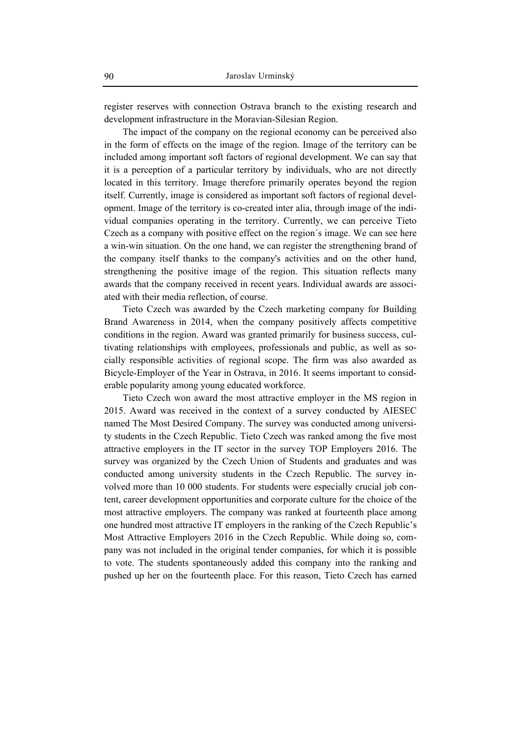register reserves with connection Ostrava branch to the existing research and development infrastructure in the Moravian-Silesian Region.

The impact of the company on the regional economy can be perceived also in the form of effects on the image of the region. Image of the territory can be included among important soft factors of regional development. We can say that it is a perception of a particular territory by individuals, who are not directly located in this territory. Image therefore primarily operates beyond the region itself. Currently, image is considered as important soft factors of regional development. Image of the territory is co-created inter alia, through image of the individual companies operating in the territory. Currently, we can perceive Tieto Czech as a company with positive effect on the region´s image. We can see here a win-win situation. On the one hand, we can register the strengthening brand of the company itself thanks to the company's activities and on the other hand, strengthening the positive image of the region. This situation reflects many awards that the company received in recent years. Individual awards are associated with their media reflection, of course.

Tieto Czech was awarded by the Czech marketing company for Building Brand Awareness in 2014, when the company positively affects competitive conditions in the region. Award was granted primarily for business success, cultivating relationships with employees, professionals and public, as well as socially responsible activities of regional scope. The firm was also awarded as Bicycle-Employer of the Year in Ostrava, in 2016. It seems important to considerable popularity among young educated workforce.

Tieto Czech won award the most attractive employer in the MS region in 2015. Award was received in the context of a survey conducted by AIESEC named The Most Desired Company. The survey was conducted among university students in the Czech Republic. Tieto Czech was ranked among the five most attractive employers in the IT sector in the survey TOP Employers 2016. The survey was organized by the Czech Union of Students and graduates and was conducted among university students in the Czech Republic. The survey involved more than 10 000 students. For students were especially crucial job content, career development opportunities and corporate culture for the choice of the most attractive employers. The company was ranked at fourteenth place among one hundred most attractive IT employers in the ranking of the Czech Republic's Most Attractive Employers 2016 in the Czech Republic. While doing so, company was not included in the original tender companies, for which it is possible to vote. The students spontaneously added this company into the ranking and pushed up her on the fourteenth place. For this reason, Tieto Czech has earned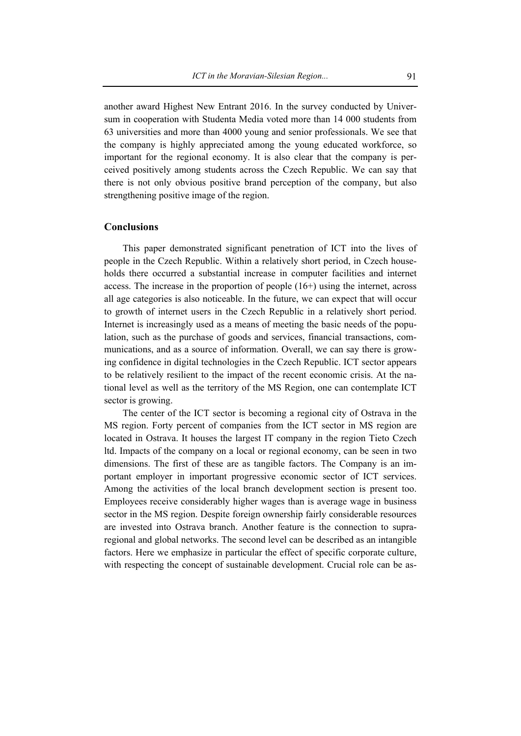another award Highest New Entrant 2016. In the survey conducted by Universum in cooperation with Studenta Media voted more than 14 000 students from 63 universities and more than 4000 young and senior professionals. We see that the company is highly appreciated among the young educated workforce, so important for the regional economy. It is also clear that the company is perceived positively among students across the Czech Republic. We can say that there is not only obvious positive brand perception of the company, but also strengthening positive image of the region.

### **Conclusions**

This paper demonstrated significant penetration of ICT into the lives of people in the Czech Republic. Within a relatively short period, in Czech households there occurred a substantial increase in computer facilities and internet access. The increase in the proportion of people (16+) using the internet, across all age categories is also noticeable. In the future, we can expect that will occur to growth of internet users in the Czech Republic in a relatively short period. Internet is increasingly used as a means of meeting the basic needs of the population, such as the purchase of goods and services, financial transactions, communications, and as a source of information. Overall, we can say there is growing confidence in digital technologies in the Czech Republic. ICT sector appears to be relatively resilient to the impact of the recent economic crisis. At the national level as well as the territory of the MS Region, one can contemplate ICT sector is growing.

The center of the ICT sector is becoming a regional city of Ostrava in the MS region. Forty percent of companies from the ICT sector in MS region are located in Ostrava. It houses the largest IT company in the region Tieto Czech ltd. Impacts of the company on a local or regional economy, can be seen in two dimensions. The first of these are as tangible factors. The Company is an important employer in important progressive economic sector of ICT services. Among the activities of the local branch development section is present too. Employees receive considerably higher wages than is average wage in business sector in the MS region. Despite foreign ownership fairly considerable resources are invested into Ostrava branch. Another feature is the connection to supraregional and global networks. The second level can be described as an intangible factors. Here we emphasize in particular the effect of specific corporate culture, with respecting the concept of sustainable development. Crucial role can be as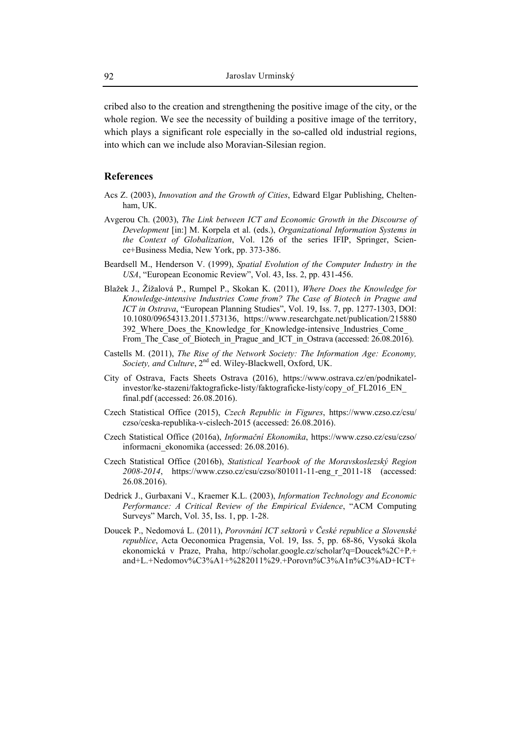cribed also to the creation and strengthening the positive image of the city, or the whole region. We see the necessity of building a positive image of the territory, which plays a significant role especially in the so-called old industrial regions, into which can we include also Moravian-Silesian region.

### **References**

- Acs Z. (2003), *Innovation and the Growth of Cities*, Edward Elgar Publishing, Cheltenham, UK.
- Avgerou Ch. (2003), *The Link between ICT and Economic Growth in the Discourse of Development* [in:] M. Korpela et al. (eds.), *Organizational Information Systems in the Context of Globalization*, Vol. 126 of the series IFIP, Springer, Science+Business Media, New York, pp. 373-386.
- Beardsell M., Henderson V. (1999), *Spatial Evolution of the Computer Industry in the USA*, "European Economic Review", Vol. 43, Iss. 2, pp. 431-456.
- Blažek J., Žížalová P., Rumpel P., Skokan K. (2011), *Where Does the Knowledge for Knowledge-intensive Industries Come from? The Case of Biotech in Prague and ICT in Ostrava*, "European Planning Studies", Vol. 19, Iss. 7, pp. 1277-1303, DOI: 10.1080/09654313.2011.573136, https://www.researchgate.net/publication/215880 392 Where Does the Knowledge\_for\_Knowledge-intensive\_Industries\_Come\_ From\_The\_Case\_of\_Biotech\_in\_Prague\_and\_ICT\_in\_Ostrava (accessed: 26.08.2016).
- Castells M. (2011), *The Rise of the Network Society: The Information Age: Economy, Society, and Culture*, 2<sup>nd</sup> ed. Wiley-Blackwell, Oxford, UK.
- City of Ostrava, Facts Sheets Ostrava (2016), https://www.ostrava.cz/en/podnikatelinvestor/ke-stazeni/faktograficke-listy/faktograficke-listy/copy\_of\_FL2016\_EN\_ final.pdf (accessed: 26.08.2016).
- Czech Statistical Office (2015), *Czech Republic in Figures*, https://www.czso.cz/csu/ czso/ceska-republika-v-cislech-2015 (accessed: 26.08.2016).
- Czech Statistical Office (2016a), *Informační Ekonomika*, https://www.czso.cz/csu/czso/ informacni\_ekonomika (accessed: 26.08.2016).
- Czech Statistical Office (2016b), *Statistical Yearbook of the Moravskoslezský Region 2008-2014*, https://www.czso.cz/csu/czso/801011-11-eng\_r\_2011-18 (accessed: 26.08.2016).
- Dedrick J., Gurbaxani V., Kraemer K.L. (2003), *Information Technology and Economic Performance: A Critical Review of the Empirical Evidence*, "ACM Computing Surveys" March, Vol. 35, Iss. 1, pp. 1-28.
- Doucek P., Nedomová L. (2011), *Porovnání ICT sektorů v České republice a Slovenské republice*, Acta Oeconomica Pragensia, Vol. 19, Iss. 5, pp. 68-86, Vysoká škola ekonomická v Praze, Praha, http://scholar.google.cz/scholar?q=Doucek%2C+P.+ and+L.+Nedomov%C3%A1+%282011%29.+Porovn%C3%A1n%C3%AD+ICT+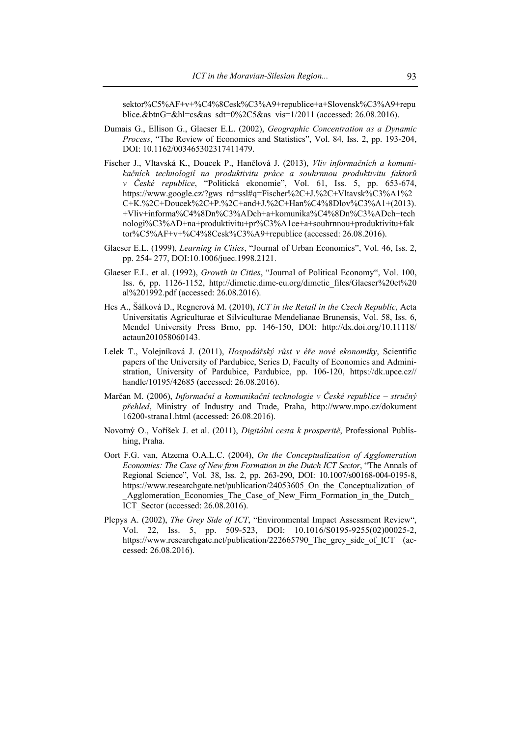sektor%C5%AF+v+%C4%8Cesk%C3%A9+republice+a+Slovensk%C3%A9+repu blice.&btnG=&hl=cs&as\_sdt=0%2C5&as\_vis=1/2011 (accessed: 26.08.2016).

- Dumais G., Ellison G., Glaeser E.L. (2002), *Geographic Concentration as a Dynamic Process*, "The Review of Economics and Statistics", Vol. 84, Iss. 2, pp. 193-204, DOI: 10.1162/003465302317411479.
- Fischer J., Vltavská K., Doucek P., Hančlová J. (2013), *Vliv informačních a komunikačních technologií na produktivitu práce a souhrnnou produktivitu faktorů v České republice*, "Politická ekonomie", Vol. 61, Iss. 5, pp. 653-674, https://www.google.cz/?gws\_rd=ssl#q=Fischer%2C+J.%2C+Vltavsk%C3%A1%2 C+K.%2C+Doucek%2C+P.%2C+and+J.%2C+Han%C4%8Dlov%C3%A1+(2013). +Vliv+informa%C4%8Dn%C3%ADch+a+komunika%C4%8Dn%C3%ADch+tech nologi%C3%AD+na+produktivitu+pr%C3%A1ce+a+souhrnnou+produktivitu+fak tor%C5%AF+v+%C4%8Cesk%C3%A9+republice (accessed: 26.08.2016).
- Glaeser E.L. (1999), *Learning in Cities*, "Journal of Urban Economics", Vol. 46, Iss. 2, pp. 254- 277, DOI:10.1006/juec.1998.2121.
- Glaeser E.L. et al. (1992), *Growth in Cities*, "Journal of Political Economy", Vol. 100, Iss. 6, pp. 1126-1152, http://dimetic.dime-eu.org/dimetic\_files/Glaeser%20et%20 al%201992.pdf (accessed: 26.08.2016).
- Hes A., Šálková D., Regnerová M. (2010), *ICT in the Retail in the Czech Republic*, Acta Universitatis Agriculturae et Silviculturae Mendelianae Brunensis, Vol. 58, Iss. 6, Mendel University Press Brno, pp. 146-150, DOI: http://dx.doi.org/10.11118/ actaun201058060143.
- Lelek T., Volejníková J. (2011), *Hospodářský růst v éře nové ekonomiky*, Scientific papers of the University of Pardubice, Series D, Faculty of Economics and Administration, University of Pardubice, Pardubice, pp. 106-120, https://dk.upce.cz// handle/10195/42685 (accessed: 26.08.2016).
- Marčan M. (2006), *Informační a komunikační technologie v České republice stručný přehled*, Ministry of Industry and Trade, Praha, http://www.mpo.cz/dokument 16200-strana1.html (accessed: 26.08.2016).
- Novotný O., Voříšek J. et al. (2011), *Digitální cesta k prosperitě*, Professional Publishing, Praha.
- Oort F.G. van, Atzema O.A.L.C. (2004), *On the Conceptualization of Agglomeration Economies: The Case of New firm Formation in the Dutch ICT Sector*, "The Annals of Regional Science", Vol. 38, Iss. 2, pp. 263-290, DOI: 10.1007/s00168-004-0195-8, https://www.researchgate.net/publication/24053605 On the Conceptualization of \_Agglomeration\_Economies\_The\_Case\_of\_New\_Firm\_Formation\_in\_the\_Dutch\_ ICT\_Sector (accessed: 26.08.2016).
- Plepys A. (2002), *The Grey Side of ICT*, "Environmental Impact Assessment Review", Vol. 22, Iss. 5, pp. 509-523, DOI: 10.1016/S0195-9255(02)00025-2, https://www.researchgate.net/publication/222665790\_The\_grey\_side\_of\_ICT (accessed: 26.08.2016).